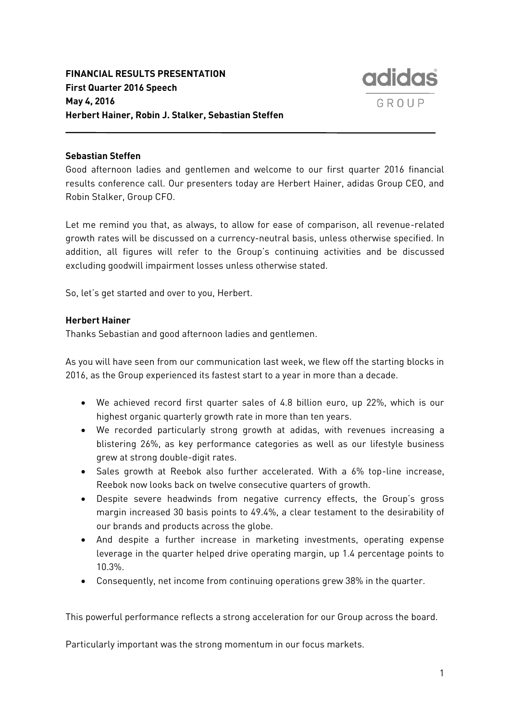

# **Sebastian Steffen**

Good afternoon ladies and gentlemen and welcome to our first quarter 2016 financial results conference call. Our presenters today are Herbert Hainer, adidas Group CEO, and Robin Stalker, Group CFO.

Let me remind you that, as always, to allow for ease of comparison, all revenue-related growth rates will be discussed on a currency-neutral basis, unless otherwise specified. In addition, all figures will refer to the Group's continuing activities and be discussed excluding goodwill impairment losses unless otherwise stated.

So, let's get started and over to you, Herbert.

# **Herbert Hainer**

Thanks Sebastian and good afternoon ladies and gentlemen.

As you will have seen from our communication last week, we flew off the starting blocks in 2016, as the Group experienced its fastest start to a year in more than a decade.

- We achieved record first quarter sales of 4.8 billion euro, up 22%, which is our highest organic quarterly growth rate in more than ten years.
- We recorded particularly strong growth at adidas, with revenues increasing a blistering 26%, as key performance categories as well as our lifestyle business grew at strong double-digit rates.
- Sales growth at Reebok also further accelerated. With a 6% top-line increase, Reebok now looks back on twelve consecutive quarters of growth.
- Despite severe headwinds from negative currency effects, the Group's gross margin increased 30 basis points to 49.4%, a clear testament to the desirability of our brands and products across the globe.
- And despite a further increase in marketing investments, operating expense leverage in the quarter helped drive operating margin, up 1.4 percentage points to 10.3%.
- Consequently, net income from continuing operations grew 38% in the quarter.

This powerful performance reflects a strong acceleration for our Group across the board.

Particularly important was the strong momentum in our focus markets.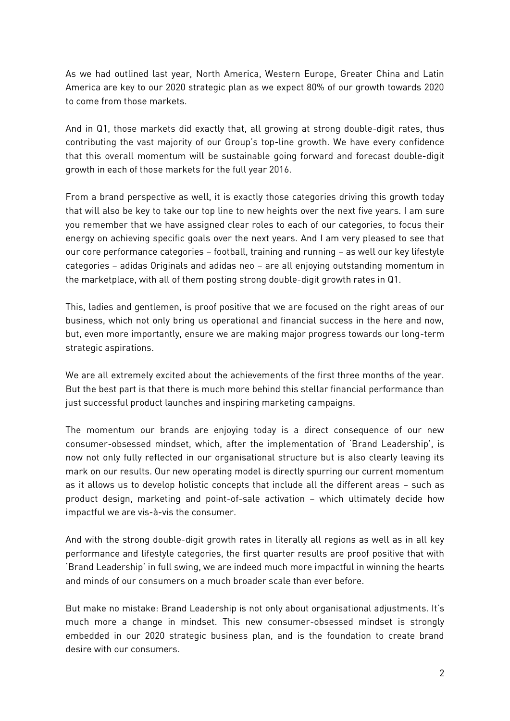As we had outlined last year, North America, Western Europe, Greater China and Latin America are key to our 2020 strategic plan as we expect 80% of our growth towards 2020 to come from those markets.

And in Q1, those markets did exactly that, all growing at strong double-digit rates, thus contributing the vast majority of our Group's top-line growth. We have every confidence that this overall momentum will be sustainable going forward and forecast double-digit growth in each of those markets for the full year 2016.

From a brand perspective as well, it is exactly those categories driving this growth today that will also be key to take our top line to new heights over the next five years. I am sure you remember that we have assigned clear roles to each of our categories, to focus their energy on achieving specific goals over the next years. And I am very pleased to see that our core performance categories – football, training and running – as well our key lifestyle categories – adidas Originals and adidas neo – are all enjoying outstanding momentum in the marketplace, with all of them posting strong double-digit growth rates in Q1.

This, ladies and gentlemen, is proof positive that we are focused on the right areas of our business, which not only bring us operational and financial success in the here and now, but, even more importantly, ensure we are making major progress towards our long-term strategic aspirations.

We are all extremely excited about the achievements of the first three months of the year. But the best part is that there is much more behind this stellar financial performance than just successful product launches and inspiring marketing campaigns.

The momentum our brands are enjoying today is a direct consequence of our new consumer-obsessed mindset, which, after the implementation of 'Brand Leadership', is now not only fully reflected in our organisational structure but is also clearly leaving its mark on our results. Our new operating model is directly spurring our current momentum as it allows us to develop holistic concepts that include all the different areas – such as product design, marketing and point-of-sale activation – which ultimately decide how impactful we are vis-à-vis the consumer.

And with the strong double-digit growth rates in literally all regions as well as in all key performance and lifestyle categories, the first quarter results are proof positive that with 'Brand Leadership' in full swing, we are indeed much more impactful in winning the hearts and minds of our consumers on a much broader scale than ever before.

But make no mistake: Brand Leadership is not only about organisational adjustments. It's much more a change in mindset. This new consumer-obsessed mindset is strongly embedded in our 2020 strategic business plan, and is the foundation to create brand desire with our consumers.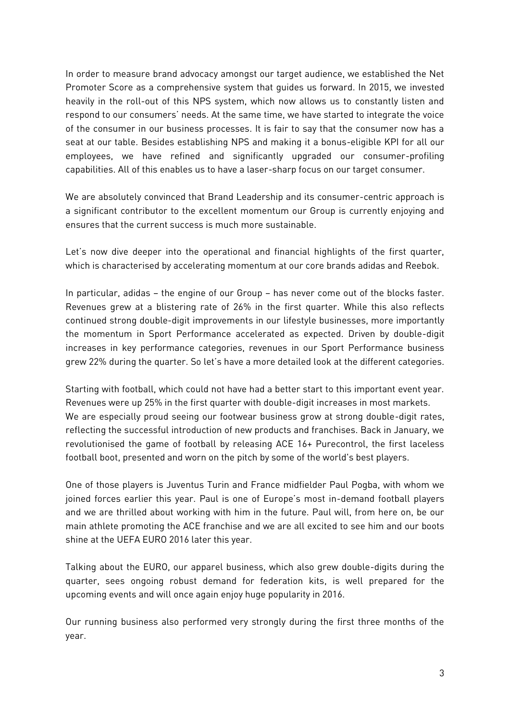In order to measure brand advocacy amongst our target audience, we established the Net Promoter Score as a comprehensive system that guides us forward. In 2015, we invested heavily in the roll-out of this NPS system, which now allows us to constantly listen and respond to our consumers' needs. At the same time, we have started to integrate the voice of the consumer in our business processes. It is fair to say that the consumer now has a seat at our table. Besides establishing NPS and making it a bonus-eligible KPI for all our employees, we have refined and significantly upgraded our consumer-profiling capabilities. All of this enables us to have a laser-sharp focus on our target consumer.

We are absolutely convinced that Brand Leadership and its consumer-centric approach is a significant contributor to the excellent momentum our Group is currently enjoying and ensures that the current success is much more sustainable.

Let's now dive deeper into the operational and financial highlights of the first quarter, which is characterised by accelerating momentum at our core brands adidas and Reebok.

In particular, adidas – the engine of our Group – has never come out of the blocks faster. Revenues grew at a blistering rate of 26% in the first quarter. While this also reflects continued strong double-digit improvements in our lifestyle businesses, more importantly the momentum in Sport Performance accelerated as expected. Driven by double-digit increases in key performance categories, revenues in our Sport Performance business grew 22% during the quarter. So let's have a more detailed look at the different categories.

Starting with football, which could not have had a better start to this important event year. Revenues were up 25% in the first quarter with double-digit increases in most markets. We are especially proud seeing our footwear business grow at strong double-digit rates, reflecting the successful introduction of new products and franchises. Back in January, we revolutionised the game of football by releasing ACE 16+ Purecontrol, the first laceless football boot, presented and worn on the pitch by some of the world's best players.

One of those players is Juventus Turin and France midfielder Paul Pogba, with whom we joined forces earlier this year. Paul is one of Europe's most in-demand football players and we are thrilled about working with him in the future. Paul will, from here on, be our main athlete promoting the ACE franchise and we are all excited to see him and our boots shine at the UEFA EURO 2016 later this year.

Talking about the EURO, our apparel business, which also grew double-digits during the quarter, sees ongoing robust demand for federation kits, is well prepared for the upcoming events and will once again enjoy huge popularity in 2016.

Our running business also performed very strongly during the first three months of the year.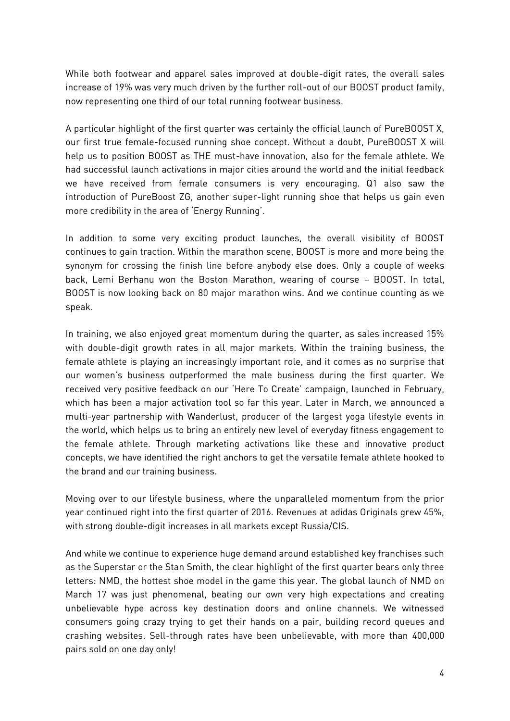While both footwear and apparel sales improved at double-digit rates, the overall sales increase of 19% was very much driven by the further roll-out of our BOOST product family, now representing one third of our total running footwear business.

A particular highlight of the first quarter was certainly the official launch of PureBOOST X, our first true female-focused running shoe concept. Without a doubt, PureBOOST X will help us to position BOOST as THE must-have innovation, also for the female athlete. We had successful launch activations in major cities around the world and the initial feedback we have received from female consumers is very encouraging. Q1 also saw the introduction of PureBoost ZG, another super-light running shoe that helps us gain even more credibility in the area of 'Energy Running'.

In addition to some very exciting product launches, the overall visibility of BOOST continues to gain traction. Within the marathon scene, BOOST is more and more being the synonym for crossing the finish line before anybody else does. Only a couple of weeks back, Lemi Berhanu won the Boston Marathon, wearing of course – BOOST. In total, BOOST is now looking back on 80 major marathon wins. And we continue counting as we speak.

In training, we also enjoyed great momentum during the quarter, as sales increased 15% with double-digit growth rates in all major markets. Within the training business, the female athlete is playing an increasingly important role, and it comes as no surprise that our women's business outperformed the male business during the first quarter. We received very positive feedback on our 'Here To Create' campaign, launched in February, which has been a major activation tool so far this year. Later in March, we announced a multi-year partnership with Wanderlust, producer of the largest yoga lifestyle events in the world, which helps us to bring an entirely new level of everyday fitness engagement to the female athlete. Through marketing activations like these and innovative product concepts, we have identified the right anchors to get the versatile female athlete hooked to the brand and our training business.

Moving over to our lifestyle business, where the unparalleled momentum from the prior year continued right into the first quarter of 2016. Revenues at adidas Originals grew 45%, with strong double-digit increases in all markets except Russia/CIS.

And while we continue to experience huge demand around established key franchises such as the Superstar or the Stan Smith, the clear highlight of the first quarter bears only three letters: NMD, the hottest shoe model in the game this year. The global launch of NMD on March 17 was just phenomenal, beating our own very high expectations and creating unbelievable hype across key destination doors and online channels. We witnessed consumers going crazy trying to get their hands on a pair, building record queues and crashing websites. Sell-through rates have been unbelievable, with more than 400,000 pairs sold on one day only!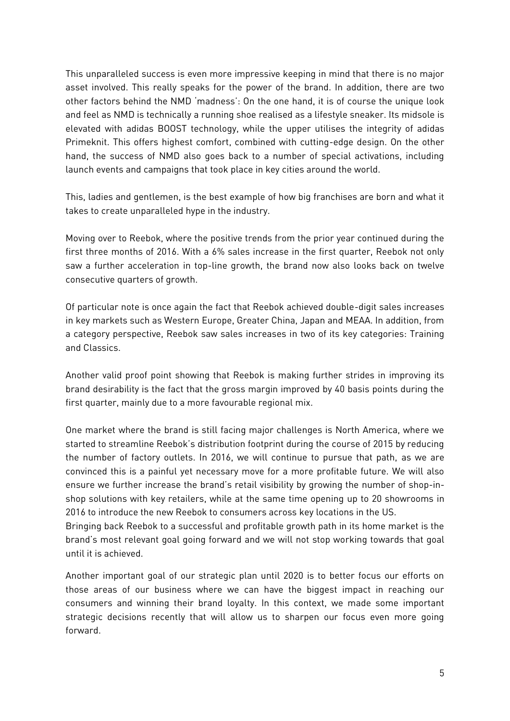This unparalleled success is even more impressive keeping in mind that there is no major asset involved. This really speaks for the power of the brand. In addition, there are two other factors behind the NMD 'madness': On the one hand, it is of course the unique look and feel as NMD is technically a running shoe realised as a lifestyle sneaker. Its midsole is elevated with adidas BOOST technology, while the upper utilises the integrity of adidas Primeknit. This offers highest comfort, combined with cutting-edge design. On the other hand, the success of NMD also goes back to a number of special activations, including launch events and campaigns that took place in key cities around the world.

This, ladies and gentlemen, is the best example of how big franchises are born and what it takes to create unparalleled hype in the industry.

Moving over to Reebok, where the positive trends from the prior year continued during the first three months of 2016. With a 6% sales increase in the first quarter, Reebok not only saw a further acceleration in top-line growth, the brand now also looks back on twelve consecutive quarters of growth.

Of particular note is once again the fact that Reebok achieved double-digit sales increases in key markets such as Western Europe, Greater China, Japan and MEAA. In addition, from a category perspective, Reebok saw sales increases in two of its key categories: Training and Classics.

Another valid proof point showing that Reebok is making further strides in improving its brand desirability is the fact that the gross margin improved by 40 basis points during the first quarter, mainly due to a more favourable regional mix.

One market where the brand is still facing major challenges is North America, where we started to streamline Reebok's distribution footprint during the course of 2015 by reducing the number of factory outlets. In 2016, we will continue to pursue that path, as we are convinced this is a painful yet necessary move for a more profitable future. We will also ensure we further increase the brand's retail visibility by growing the number of shop-inshop solutions with key retailers, while at the same time opening up to 20 showrooms in 2016 to introduce the new Reebok to consumers across key locations in the US.

Bringing back Reebok to a successful and profitable growth path in its home market is the brand's most relevant goal going forward and we will not stop working towards that goal until it is achieved.

Another important goal of our strategic plan until 2020 is to better focus our efforts on those areas of our business where we can have the biggest impact in reaching our consumers and winning their brand loyalty. In this context, we made some important strategic decisions recently that will allow us to sharpen our focus even more going forward.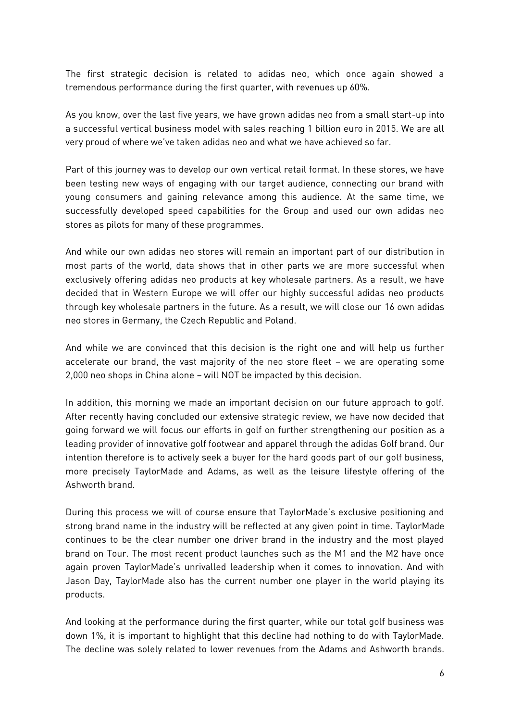The first strategic decision is related to adidas neo, which once again showed a tremendous performance during the first quarter, with revenues up 60%.

As you know, over the last five years, we have grown adidas neo from a small start-up into a successful vertical business model with sales reaching 1 billion euro in 2015. We are all very proud of where we've taken adidas neo and what we have achieved so far.

Part of this journey was to develop our own vertical retail format. In these stores, we have been testing new ways of engaging with our target audience, connecting our brand with young consumers and gaining relevance among this audience. At the same time, we successfully developed speed capabilities for the Group and used our own adidas neo stores as pilots for many of these programmes.

And while our own adidas neo stores will remain an important part of our distribution in most parts of the world, data shows that in other parts we are more successful when exclusively offering adidas neo products at key wholesale partners. As a result, we have decided that in Western Europe we will offer our highly successful adidas neo products through key wholesale partners in the future. As a result, we will close our 16 own adidas neo stores in Germany, the Czech Republic and Poland.

And while we are convinced that this decision is the right one and will help us further accelerate our brand, the vast majority of the neo store fleet – we are operating some 2,000 neo shops in China alone – will NOT be impacted by this decision.

In addition, this morning we made an important decision on our future approach to golf. After recently having concluded our extensive strategic review, we have now decided that going forward we will focus our efforts in golf on further strengthening our position as a leading provider of innovative golf footwear and apparel through the adidas Golf brand. Our intention therefore is to actively seek a buyer for the hard goods part of our golf business, more precisely TaylorMade and Adams, as well as the leisure lifestyle offering of the Ashworth brand.

During this process we will of course ensure that TaylorMade's exclusive positioning and strong brand name in the industry will be reflected at any given point in time. TaylorMade continues to be the clear number one driver brand in the industry and the most played brand on Tour. The most recent product launches such as the M1 and the M2 have once again proven TaylorMade's unrivalled leadership when it comes to innovation. And with Jason Day, TaylorMade also has the current number one player in the world playing its products.

And looking at the performance during the first quarter, while our total golf business was down 1%, it is important to highlight that this decline had nothing to do with TaylorMade. The decline was solely related to lower revenues from the Adams and Ashworth brands.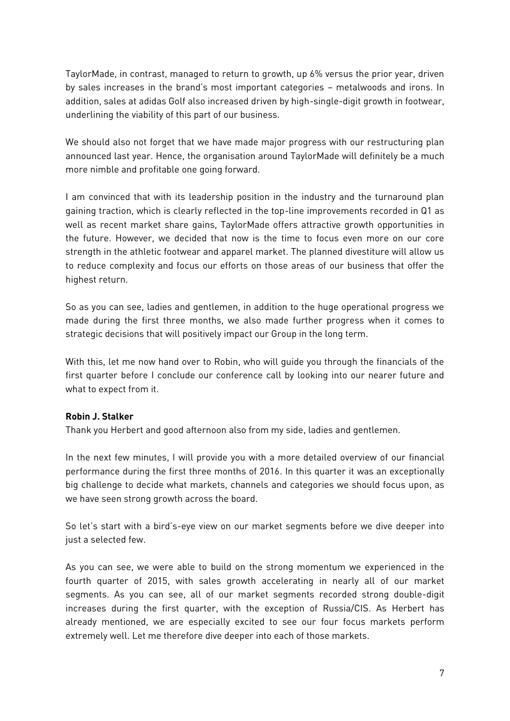TaylorMade, in contrast, managed to return to growth, up 6% versus the prior year, driven by sales increases in the brand's most important categories – metalwoods and irons. In addition, sales at adidas Golf also increased driven by high-single-digit growth in footwear, underlining the viability of this part of our business.

We should also not forget that we have made major progress with our restructuring plan announced last year. Hence, the organisation around TaylorMade will definitely be a much more nimble and profitable one going forward.

I am convinced that with its leadership position in the industry and the turnaround plan gaining traction, which is clearly reflected in the top-line improvements recorded in Q1 as well as recent market share gains, TaylorMade offers attractive growth opportunities in the future. However, we decided that now is the time to focus even more on our core strength in the athletic footwear and apparel market. The planned divestiture will allow us to reduce complexity and focus our efforts on those areas of our business that offer the highest return.

So as you can see, ladies and gentlemen, in addition to the huge operational progress we made during the first three months, we also made further progress when it comes to strategic decisions that will positively impact our Group in the long term.

With this, let me now hand over to Robin, who will guide you through the financials of the first quarter before I conclude our conference call by looking into our nearer future and what to expect from it.

# **Robin J. Stalker**

Thank you Herbert and good afternoon also from my side, ladies and gentlemen.

In the next few minutes, I will provide you with a more detailed overview of our financial performance during the first three months of 2016. In this quarter it was an exceptionally big challenge to decide what markets, channels and categories we should focus upon, as we have seen strong growth across the board.

So let's start with a bird's-eye view on our market segments before we dive deeper into just a selected few.

As you can see, we were able to build on the strong momentum we experienced in the fourth quarter of 2015, with sales growth accelerating in nearly all of our market segments. As you can see, all of our market segments recorded strong double-digit increases during the first quarter, with the exception of Russia/CIS. As Herbert has already mentioned, we are especially excited to see our four focus markets perform extremely well. Let me therefore dive deeper into each of those markets.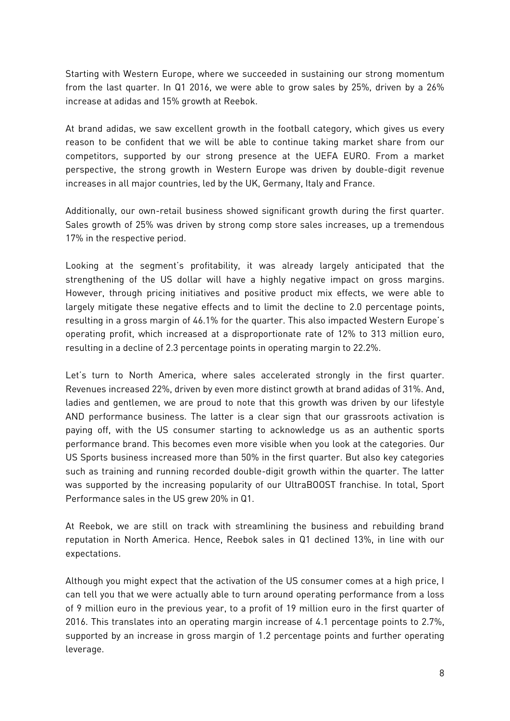Starting with Western Europe, where we succeeded in sustaining our strong momentum from the last quarter. In Q1 2016, we were able to grow sales by 25%, driven by a 26% increase at adidas and 15% growth at Reebok.

At brand adidas, we saw excellent growth in the football category, which gives us every reason to be confident that we will be able to continue taking market share from our competitors, supported by our strong presence at the UEFA EURO. From a market perspective, the strong growth in Western Europe was driven by double-digit revenue increases in all major countries, led by the UK, Germany, Italy and France.

Additionally, our own-retail business showed significant growth during the first quarter. Sales growth of 25% was driven by strong comp store sales increases, up a tremendous 17% in the respective period.

Looking at the segment's profitability, it was already largely anticipated that the strengthening of the US dollar will have a highly negative impact on gross margins. However, through pricing initiatives and positive product mix effects, we were able to largely mitigate these negative effects and to limit the decline to 2.0 percentage points, resulting in a gross margin of 46.1% for the quarter. This also impacted Western Europe's operating profit, which increased at a disproportionate rate of 12% to 313 million euro, resulting in a decline of 2.3 percentage points in operating margin to 22.2%.

Let's turn to North America, where sales accelerated strongly in the first quarter. Revenues increased 22%, driven by even more distinct growth at brand adidas of 31%. And, ladies and gentlemen, we are proud to note that this growth was driven by our lifestyle AND performance business. The latter is a clear sign that our grassroots activation is paying off, with the US consumer starting to acknowledge us as an authentic sports performance brand. This becomes even more visible when you look at the categories. Our US Sports business increased more than 50% in the first quarter. But also key categories such as training and running recorded double-digit growth within the quarter. The latter was supported by the increasing popularity of our UltraBOOST franchise. In total, Sport Performance sales in the US grew 20% in Q1.

At Reebok, we are still on track with streamlining the business and rebuilding brand reputation in North America. Hence, Reebok sales in Q1 declined 13%, in line with our expectations.

Although you might expect that the activation of the US consumer comes at a high price, I can tell you that we were actually able to turn around operating performance from a loss of 9 million euro in the previous year, to a profit of 19 million euro in the first quarter of 2016. This translates into an operating margin increase of 4.1 percentage points to 2.7%, supported by an increase in gross margin of 1.2 percentage points and further operating leverage.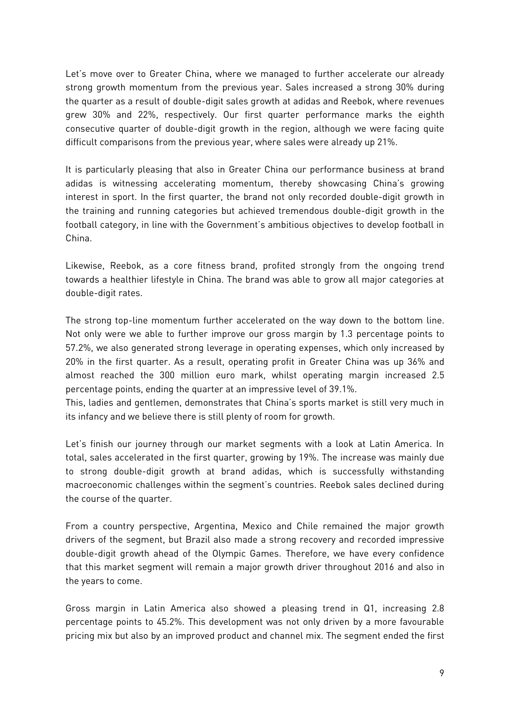Let's move over to Greater China, where we managed to further accelerate our already strong growth momentum from the previous year. Sales increased a strong 30% during the quarter as a result of double-digit sales growth at adidas and Reebok, where revenues grew 30% and 22%, respectively. Our first quarter performance marks the eighth consecutive quarter of double-digit growth in the region, although we were facing quite difficult comparisons from the previous year, where sales were already up 21%.

It is particularly pleasing that also in Greater China our performance business at brand adidas is witnessing accelerating momentum, thereby showcasing China's growing interest in sport. In the first quarter, the brand not only recorded double-digit growth in the training and running categories but achieved tremendous double-digit growth in the football category, in line with the Government's ambitious objectives to develop football in China.

Likewise, Reebok, as a core fitness brand, profited strongly from the ongoing trend towards a healthier lifestyle in China. The brand was able to grow all major categories at double-digit rates.

The strong top-line momentum further accelerated on the way down to the bottom line. Not only were we able to further improve our gross margin by 1.3 percentage points to 57.2%, we also generated strong leverage in operating expenses, which only increased by 20% in the first quarter. As a result, operating profit in Greater China was up 36% and almost reached the 300 million euro mark, whilst operating margin increased 2.5 percentage points, ending the quarter at an impressive level of 39.1%.

This, ladies and gentlemen, demonstrates that China's sports market is still very much in its infancy and we believe there is still plenty of room for growth.

Let's finish our journey through our market segments with a look at Latin America. In total, sales accelerated in the first quarter, growing by 19%. The increase was mainly due to strong double-digit growth at brand adidas, which is successfully withstanding macroeconomic challenges within the segment's countries. Reebok sales declined during the course of the quarter.

From a country perspective, Argentina, Mexico and Chile remained the major growth drivers of the segment, but Brazil also made a strong recovery and recorded impressive double-digit growth ahead of the Olympic Games. Therefore, we have every confidence that this market segment will remain a major growth driver throughout 2016 and also in the years to come.

Gross margin in Latin America also showed a pleasing trend in Q1, increasing 2.8 percentage points to 45.2%. This development was not only driven by a more favourable pricing mix but also by an improved product and channel mix. The segment ended the first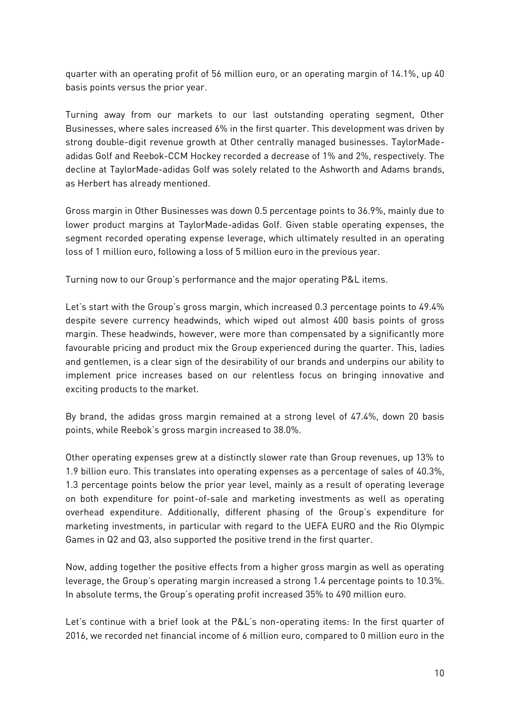quarter with an operating profit of 56 million euro, or an operating margin of 14.1%, up 40 basis points versus the prior year.

Turning away from our markets to our last outstanding operating segment, Other Businesses, where sales increased 6% in the first quarter. This development was driven by strong double-digit revenue growth at Other centrally managed businesses. TaylorMadeadidas Golf and Reebok-CCM Hockey recorded a decrease of 1% and 2%, respectively. The decline at TaylorMade-adidas Golf was solely related to the Ashworth and Adams brands, as Herbert has already mentioned.

Gross margin in Other Businesses was down 0.5 percentage points to 36.9%, mainly due to lower product margins at TaylorMade-adidas Golf. Given stable operating expenses, the segment recorded operating expense leverage, which ultimately resulted in an operating loss of 1 million euro, following a loss of 5 million euro in the previous year.

Turning now to our Group's performance and the major operating P&L items.

Let's start with the Group's gross margin, which increased 0.3 percentage points to 49.4% despite severe currency headwinds, which wiped out almost 400 basis points of gross margin. These headwinds, however, were more than compensated by a significantly more favourable pricing and product mix the Group experienced during the quarter. This, ladies and gentlemen, is a clear sign of the desirability of our brands and underpins our ability to implement price increases based on our relentless focus on bringing innovative and exciting products to the market.

By brand, the adidas gross margin remained at a strong level of 47.4%, down 20 basis points, while Reebok's gross margin increased to 38.0%.

Other operating expenses grew at a distinctly slower rate than Group revenues, up 13% to 1.9 billion euro. This translates into operating expenses as a percentage of sales of 40.3%, 1.3 percentage points below the prior year level, mainly as a result of operating leverage on both expenditure for point-of-sale and marketing investments as well as operating overhead expenditure. Additionally, different phasing of the Group's expenditure for marketing investments, in particular with regard to the UEFA EURO and the Rio Olympic Games in Q2 and Q3, also supported the positive trend in the first quarter.

Now, adding together the positive effects from a higher gross margin as well as operating leverage, the Group's operating margin increased a strong 1.4 percentage points to 10.3%. In absolute terms, the Group's operating profit increased 35% to 490 million euro.

Let's continue with a brief look at the P&L's non-operating items: In the first quarter of 2016, we recorded net financial income of 6 million euro, compared to 0 million euro in the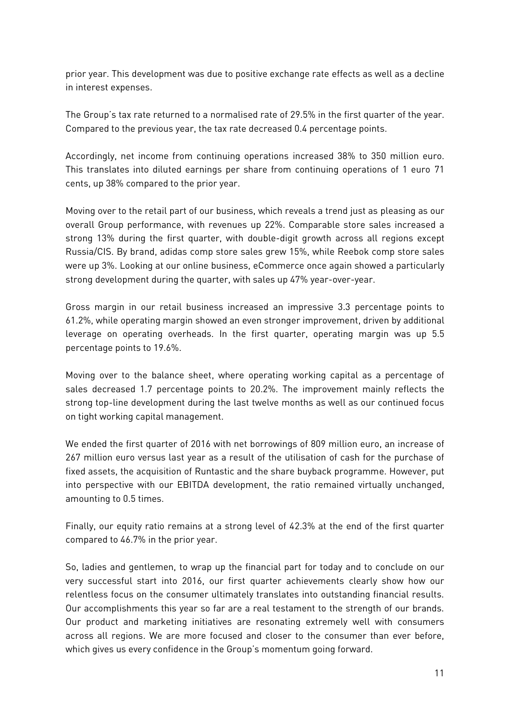prior year. This development was due to positive exchange rate effects as well as a decline in interest expenses.

The Group's tax rate returned to a normalised rate of 29.5% in the first quarter of the year. Compared to the previous year, the tax rate decreased 0.4 percentage points.

Accordingly, net income from continuing operations increased 38% to 350 million euro. This translates into diluted earnings per share from continuing operations of 1 euro 71 cents, up 38% compared to the prior year.

Moving over to the retail part of our business, which reveals a trend just as pleasing as our overall Group performance, with revenues up 22%. Comparable store sales increased a strong 13% during the first quarter, with double-digit growth across all regions except Russia/CIS. By brand, adidas comp store sales grew 15%, while Reebok comp store sales were up 3%. Looking at our online business, eCommerce once again showed a particularly strong development during the quarter, with sales up 47% year-over-year.

Gross margin in our retail business increased an impressive 3.3 percentage points to 61.2%, while operating margin showed an even stronger improvement, driven by additional leverage on operating overheads. In the first quarter, operating margin was up 5.5 percentage points to 19.6%.

Moving over to the balance sheet, where operating working capital as a percentage of sales decreased 1.7 percentage points to 20.2%. The improvement mainly reflects the strong top-line development during the last twelve months as well as our continued focus on tight working capital management.

We ended the first quarter of 2016 with net borrowings of 809 million euro, an increase of 267 million euro versus last year as a result of the utilisation of cash for the purchase of fixed assets, the acquisition of Runtastic and the share buyback programme. However, put into perspective with our EBITDA development, the ratio remained virtually unchanged, amounting to 0.5 times.

Finally, our equity ratio remains at a strong level of 42.3% at the end of the first quarter compared to 46.7% in the prior year.

So, ladies and gentlemen, to wrap up the financial part for today and to conclude on our very successful start into 2016, our first quarter achievements clearly show how our relentless focus on the consumer ultimately translates into outstanding financial results. Our accomplishments this year so far are a real testament to the strength of our brands. Our product and marketing initiatives are resonating extremely well with consumers across all regions. We are more focused and closer to the consumer than ever before, which gives us every confidence in the Group's momentum going forward.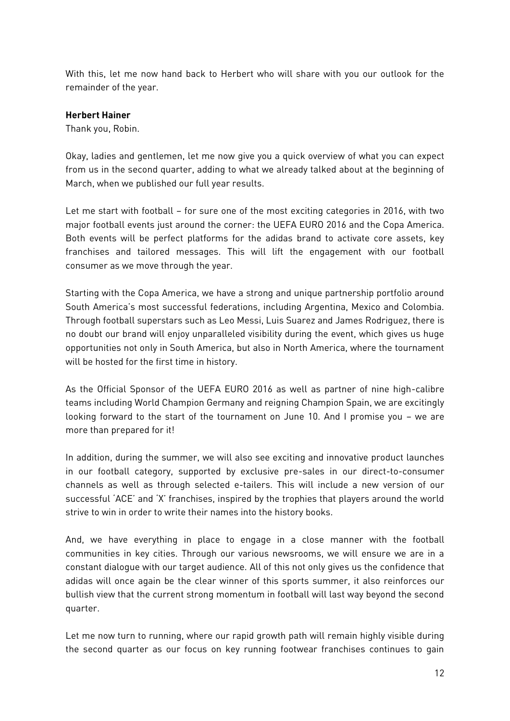With this, let me now hand back to Herbert who will share with you our outlook for the remainder of the year.

# **Herbert Hainer**

Thank you, Robin.

Okay, ladies and gentlemen, let me now give you a quick overview of what you can expect from us in the second quarter, adding to what we already talked about at the beginning of March, when we published our full year results.

Let me start with football – for sure one of the most exciting categories in 2016, with two major football events just around the corner: the UEFA EURO 2016 and the Copa America. Both events will be perfect platforms for the adidas brand to activate core assets, key franchises and tailored messages. This will lift the engagement with our football consumer as we move through the year.

Starting with the Copa America, we have a strong and unique partnership portfolio around South America's most successful federations, including Argentina, Mexico and Colombia. Through football superstars such as Leo Messi, Luis Suarez and James Rodriguez, there is no doubt our brand will enjoy unparalleled visibility during the event, which gives us huge opportunities not only in South America, but also in North America, where the tournament will be hosted for the first time in history.

As the Official Sponsor of the UEFA EURO 2016 as well as partner of nine high-calibre teams including World Champion Germany and reigning Champion Spain, we are excitingly looking forward to the start of the tournament on June 10. And I promise you – we are more than prepared for it!

In addition, during the summer, we will also see exciting and innovative product launches in our football category, supported by exclusive pre-sales in our direct-to-consumer channels as well as through selected e-tailers. This will include a new version of our successful 'ACE' and 'X' franchises, inspired by the trophies that players around the world strive to win in order to write their names into the history books.

And, we have everything in place to engage in a close manner with the football communities in key cities. Through our various newsrooms, we will ensure we are in a constant dialogue with our target audience. All of this not only gives us the confidence that adidas will once again be the clear winner of this sports summer, it also reinforces our bullish view that the current strong momentum in football will last way beyond the second quarter.

Let me now turn to running, where our rapid growth path will remain highly visible during the second quarter as our focus on key running footwear franchises continues to gain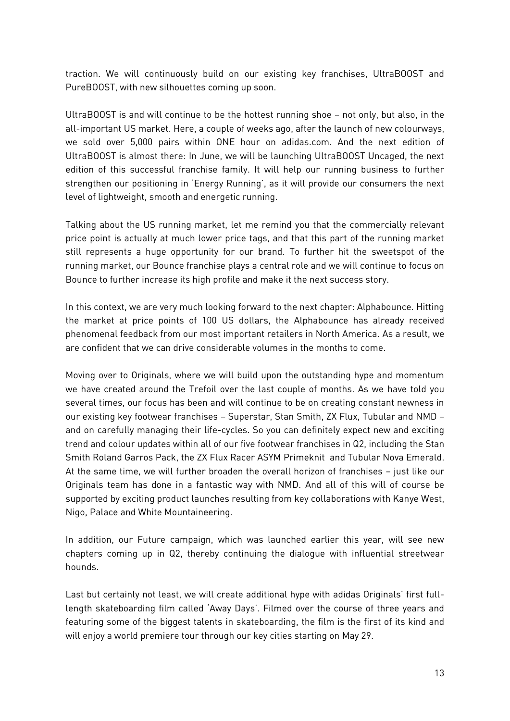traction. We will continuously build on our existing key franchises, UltraBOOST and PureBOOST, with new silhouettes coming up soon.

UltraBOOST is and will continue to be the hottest running shoe – not only, but also, in the all-important US market. Here, a couple of weeks ago, after the launch of new colourways, we sold over 5,000 pairs within ONE hour on adidas.com. And the next edition of UltraBOOST is almost there: In June, we will be launching UltraBOOST Uncaged, the next edition of this successful franchise family. It will help our running business to further strengthen our positioning in 'Energy Running', as it will provide our consumers the next level of lightweight, smooth and energetic running.

Talking about the US running market, let me remind you that the commercially relevant price point is actually at much lower price tags, and that this part of the running market still represents a huge opportunity for our brand. To further hit the sweetspot of the running market, our Bounce franchise plays a central role and we will continue to focus on Bounce to further increase its high profile and make it the next success story.

In this context, we are very much looking forward to the next chapter: Alphabounce. Hitting the market at price points of 100 US dollars, the Alphabounce has already received phenomenal feedback from our most important retailers in North America. As a result, we are confident that we can drive considerable volumes in the months to come.

Moving over to Originals, where we will build upon the outstanding hype and momentum we have created around the Trefoil over the last couple of months. As we have told you several times, our focus has been and will continue to be on creating constant newness in our existing key footwear franchises – Superstar, Stan Smith, ZX Flux, Tubular and NMD – and on carefully managing their life-cycles. So you can definitely expect new and exciting trend and colour updates within all of our five footwear franchises in Q2, including the Stan Smith Roland Garros Pack, the ZX Flux Racer ASYM Primeknit and Tubular Nova Emerald. At the same time, we will further broaden the overall horizon of franchises – just like our Originals team has done in a fantastic way with NMD. And all of this will of course be supported by exciting product launches resulting from key collaborations with Kanye West, Nigo, Palace and White Mountaineering.

In addition, our Future campaign, which was launched earlier this year, will see new chapters coming up in Q2, thereby continuing the dialogue with influential streetwear hounds.

Last but certainly not least, we will create additional hype with adidas Originals' first fulllength skateboarding film called 'Away Days'. Filmed over the course of three years and featuring some of the biggest talents in skateboarding, the film is the first of its kind and will enjoy a world premiere tour through our key cities starting on May 29.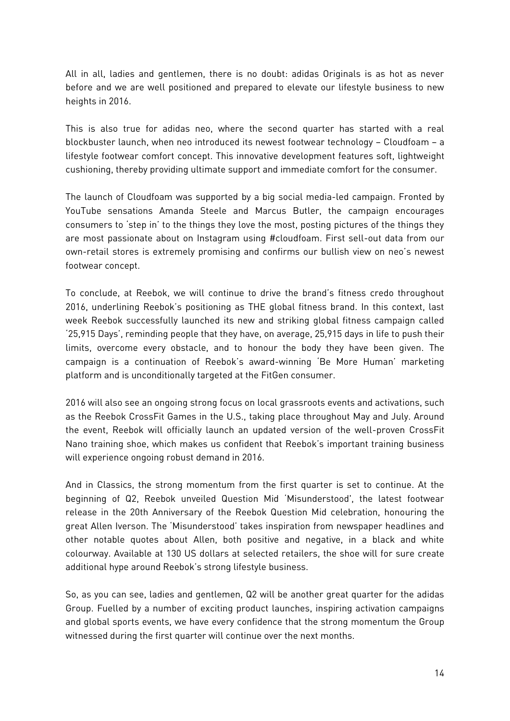All in all, ladies and gentlemen, there is no doubt: adidas Originals is as hot as never before and we are well positioned and prepared to elevate our lifestyle business to new heights in 2016.

This is also true for adidas neo, where the second quarter has started with a real blockbuster launch, when neo introduced its newest footwear technology – Cloudfoam – a lifestyle footwear comfort concept. This innovative development features soft, lightweight cushioning, thereby providing ultimate support and immediate comfort for the consumer.

The launch of Cloudfoam was supported by a big social media-led campaign. Fronted by YouTube sensations Amanda Steele and Marcus Butler, the campaign encourages consumers to 'step in' to the things they love the most, posting pictures of the things they are most passionate about on Instagram using #cloudfoam. First sell-out data from our own-retail stores is extremely promising and confirms our bullish view on neo's newest footwear concept.

To conclude, at Reebok, we will continue to drive the brand's fitness credo throughout 2016, underlining Reebok's positioning as THE global fitness brand. In this context, last week Reebok successfully launched its new and striking global fitness campaign called '25,915 Days', reminding people that they have, on average, 25,915 days in life to push their limits, overcome every obstacle, and to honour the body they have been given. The campaign is a continuation of Reebok's award-winning 'Be More Human' marketing platform and is unconditionally targeted at the FitGen consumer.

2016 will also see an ongoing strong focus on local grassroots events and activations, such as the Reebok CrossFit Games in the U.S., taking place throughout May and July. Around the event, Reebok will officially launch an updated version of the well-proven CrossFit Nano training shoe, which makes us confident that Reebok's important training business will experience ongoing robust demand in 2016.

And in Classics, the strong momentum from the first quarter is set to continue. At the beginning of Q2, Reebok unveiled Question Mid 'Misunderstood', the latest footwear release in the 20th Anniversary of the Reebok Question Mid celebration, honouring the great Allen Iverson. The 'Misunderstood' takes inspiration from newspaper headlines and other notable quotes about Allen, both positive and negative, in a black and white colourway. Available at 130 US dollars at selected retailers, the shoe will for sure create additional hype around Reebok's strong lifestyle business.

So, as you can see, ladies and gentlemen, Q2 will be another great quarter for the adidas Group. Fuelled by a number of exciting product launches, inspiring activation campaigns and global sports events, we have every confidence that the strong momentum the Group witnessed during the first quarter will continue over the next months.